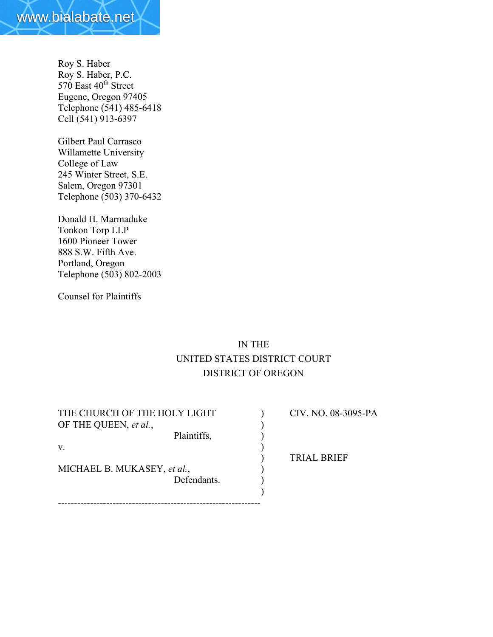

Roy S. Haber Roy S. Haber, P.C.  $570$  East  $40<sup>th</sup>$  Street Eugene, Oregon 97405 Telephone (541) 485-6418 Cell (541) 913-6397

Gilbert Paul Carrasco Willamette University College of Law 245 Winter Street, S.E. Salem, Oregon 97301 Telephone (503) 370-6432

Donald H. Marmaduke Tonkon Torp LLP 1600 Pioneer Tower 888 S.W. Fifth Ave. Portland, Oregon Telephone (503) 802-2003

Counsel for Plaintiffs

# IN THE UNITED STATES DISTRICT COURT DISTRICT OF OREGON

| THE CHURCH OF THE HOLY LIGHT | CIV. NO. 08-3095-PA |
|------------------------------|---------------------|
| OF THE QUEEN, et al.,        |                     |
| Plaintiffs,                  |                     |
| V.                           |                     |
|                              | <b>TRIAL BRIEF</b>  |
| MICHAEL B. MUKASEY, et al.,  |                     |
| Defendants.                  |                     |
|                              |                     |
|                              |                     |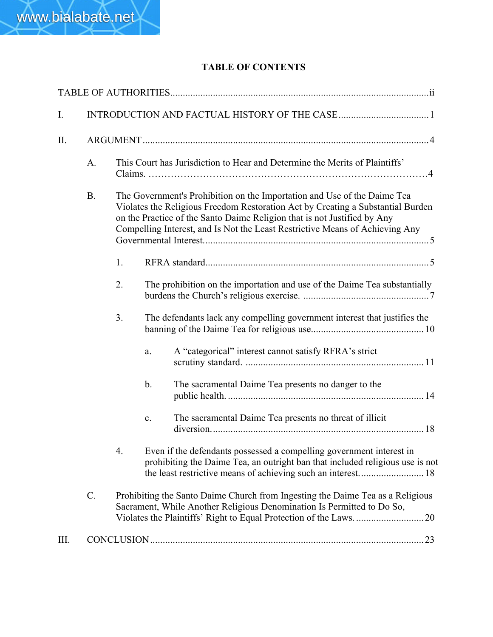## TABLE OF CONTENTS

| I.   |           |    |                                                                                                                                                                                                                                                                                                                         |
|------|-----------|----|-------------------------------------------------------------------------------------------------------------------------------------------------------------------------------------------------------------------------------------------------------------------------------------------------------------------------|
| II.  |           |    |                                                                                                                                                                                                                                                                                                                         |
|      | A.        |    | This Court has Jurisdiction to Hear and Determine the Merits of Plaintiffs'                                                                                                                                                                                                                                             |
|      | <b>B.</b> |    | The Government's Prohibition on the Importation and Use of the Daime Tea<br>Violates the Religious Freedom Restoration Act by Creating a Substantial Burden<br>on the Practice of the Santo Daime Religion that is not Justified by Any<br>Compelling Interest, and Is Not the Least Restrictive Means of Achieving Any |
|      |           | 1. |                                                                                                                                                                                                                                                                                                                         |
|      |           | 2. | The prohibition on the importation and use of the Daime Tea substantially                                                                                                                                                                                                                                               |
|      |           | 3. | The defendants lack any compelling government interest that justifies the                                                                                                                                                                                                                                               |
|      |           |    | A "categorical" interest cannot satisfy RFRA's strict<br>a.                                                                                                                                                                                                                                                             |
|      |           |    | $\mathbf b$ .<br>The sacramental Daime Tea presents no danger to the                                                                                                                                                                                                                                                    |
|      |           |    | The sacramental Daime Tea presents no threat of illicit<br>$\mathbf{c}$ .                                                                                                                                                                                                                                               |
|      |           | 4. | Even if the defendants possessed a compelling government interest in<br>prohibiting the Daime Tea, an outright ban that included religious use is not<br>the least restrictive means of achieving such an interest 18                                                                                                   |
|      | $C$ .     |    | Prohibiting the Santo Daime Church from Ingesting the Daime Tea as a Religious<br>Sacrament, While Another Religious Denomination Is Permitted to Do So,                                                                                                                                                                |
| III. |           |    |                                                                                                                                                                                                                                                                                                                         |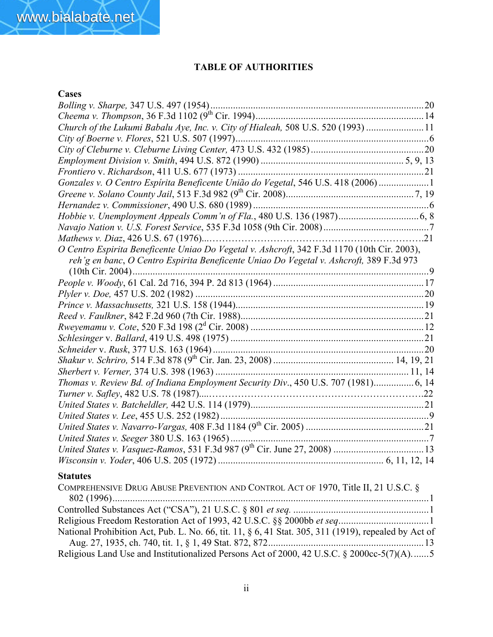## TABLE OF AUTHORITIES

## **Cases**

| Church of the Lukumi Babalu Aye, Inc. v. City of Hialeah, 508 U.S. 520 (1993) 11            |  |
|---------------------------------------------------------------------------------------------|--|
|                                                                                             |  |
|                                                                                             |  |
|                                                                                             |  |
|                                                                                             |  |
| Gonzales v. O Centro Espírita Beneficente União do Vegetal, 546 U.S. 418 (2006) 1           |  |
|                                                                                             |  |
|                                                                                             |  |
|                                                                                             |  |
|                                                                                             |  |
|                                                                                             |  |
| O Centro Espirita Beneficente Uniao Do Vegetal v. Ashcroft, 342 F.3d 1170 (10th Cir. 2003), |  |
| reh'g en banc, O Centro Espirita Beneficente Uniao Do Vegetal v. Ashcroft, 389 F.3d 973     |  |
| $(10th$ Cir. 2004)                                                                          |  |
|                                                                                             |  |
|                                                                                             |  |
|                                                                                             |  |
|                                                                                             |  |
|                                                                                             |  |
|                                                                                             |  |
|                                                                                             |  |
|                                                                                             |  |
|                                                                                             |  |
| Thomas v. Review Bd. of Indiana Employment Security Div., 450 U.S. 707 (1981) 6, 14         |  |
|                                                                                             |  |
|                                                                                             |  |
|                                                                                             |  |
|                                                                                             |  |
|                                                                                             |  |
|                                                                                             |  |
|                                                                                             |  |

## Statutes

| COMPREHENSIVE DRUG ABUSE PREVENTION AND CONTROL ACT OF 1970, Title II, 21 U.S.C. §                   |
|------------------------------------------------------------------------------------------------------|
|                                                                                                      |
|                                                                                                      |
|                                                                                                      |
| National Prohibition Act, Pub. L. No. 66, tit. 11, § 6, 41 Stat. 305, 311 (1919), repealed by Act of |
|                                                                                                      |
| Religious Land Use and Institutionalized Persons Act of 2000, 42 U.S.C. § 2000cc-5(7)(A)5            |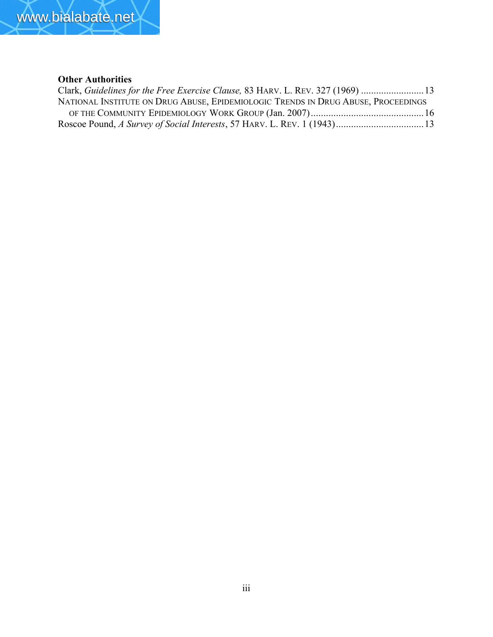

## Other Authorities

| Clark, Guidelines for the Free Exercise Clause, 83 HARV. L. REV. 327 (1969) 13    |  |
|-----------------------------------------------------------------------------------|--|
| NATIONAL INSTITUTE ON DRUG ABUSE, EPIDEMIOLOGIC TRENDS IN DRUG ABUSE, PROCEEDINGS |  |
|                                                                                   |  |
|                                                                                   |  |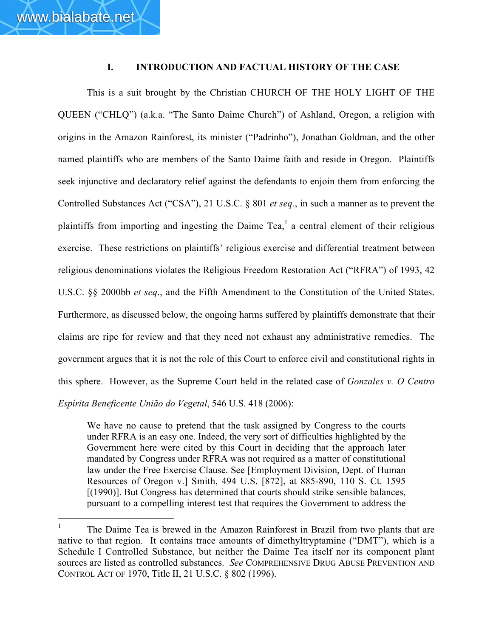### I. INTRODUCTION AND FACTUAL HISTORY OF THE CASE

This is a suit brought by the Christian CHURCH OF THE HOLY LIGHT OF THE QUEEN ("CHLQ") (a.k.a. "The Santo Daime Church") of Ashland, Oregon, a religion with origins in the Amazon Rainforest, its minister ("Padrinho"), Jonathan Goldman, and the other named plaintiffs who are members of the Santo Daime faith and reside in Oregon. Plaintiffs seek injunctive and declaratory relief against the defendants to enjoin them from enforcing the Controlled Substances Act ("CSA"), 21 U.S.C. § 801 *et seq.*, in such a manner as to prevent the plaintiffs from importing and ingesting the Daime Tea,<sup>1</sup> a central element of their religious exercise. These restrictions on plaintiffs' religious exercise and differential treatment between religious denominations violates the Religious Freedom Restoration Act ("RFRA") of 1993, 42 U.S.C. §§ 2000bb *et seq*., and the Fifth Amendment to the Constitution of the United States. Furthermore, as discussed below, the ongoing harms suffered by plaintiffs demonstrate that their claims are ripe for review and that they need not exhaust any administrative remedies. The government argues that it is not the role of this Court to enforce civil and constitutional rights in this sphere. However, as the Supreme Court held in the related case of *Gonzales v. O Centro Espírita Beneficente União do Vegetal*, 546 U.S. 418 (2006):

We have no cause to pretend that the task assigned by Congress to the courts under RFRA is an easy one. Indeed, the very sort of difficulties highlighted by the Government here were cited by this Court in deciding that the approach later mandated by Congress under RFRA was not required as a matter of constitutional law under the Free Exercise Clause. See [Employment Division, Dept. of Human Resources of Oregon v.] Smith, 494 U.S. [872], at 885-890, 110 S. Ct. 1595 [(1990)]. But Congress has determined that courts should strike sensible balances, pursuant to a compelling interest test that requires the Government to address the

<sup>1</sup> The Daime Tea is brewed in the Amazon Rainforest in Brazil from two plants that are native to that region. It contains trace amounts of dimethyltryptamine ("DMT"), which is a Schedule I Controlled Substance, but neither the Daime Tea itself nor its component plant sources are listed as controlled substances. *See* COMPREHENSIVE DRUG ABUSE PREVENTION AND CONTROL ACT OF 1970, Title II, 21 U.S.C. § 802 (1996).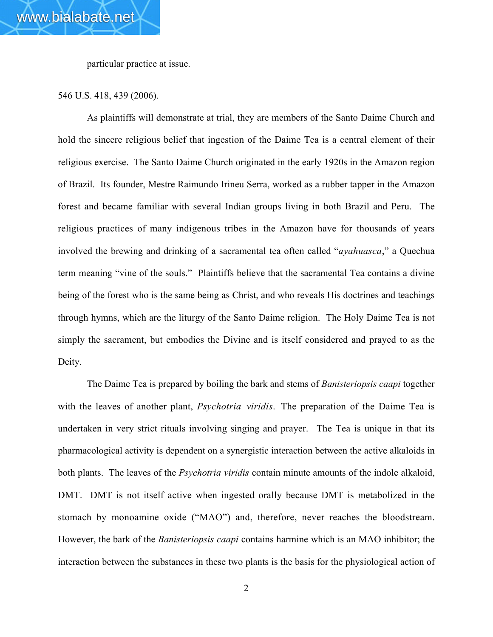particular practice at issue.

#### 546 U.S. 418, 439 (2006).

As plaintiffs will demonstrate at trial, they are members of the Santo Daime Church and hold the sincere religious belief that ingestion of the Daime Tea is a central element of their religious exercise. The Santo Daime Church originated in the early 1920s in the Amazon region of Brazil. Its founder, Mestre Raimundo Irineu Serra, worked as a rubber tapper in the Amazon forest and became familiar with several Indian groups living in both Brazil and Peru. The religious practices of many indigenous tribes in the Amazon have for thousands of years involved the brewing and drinking of a sacramental tea often called "*ayahuasca*," a Quechua term meaning "vine of the souls." Plaintiffs believe that the sacramental Tea contains a divine being of the forest who is the same being as Christ, and who reveals His doctrines and teachings through hymns, which are the liturgy of the Santo Daime religion. The Holy Daime Tea is not simply the sacrament, but embodies the Divine and is itself considered and prayed to as the Deity.

The Daime Tea is prepared by boiling the bark and stems of *Banisteriopsis caapi* together with the leaves of another plant, *Psychotria viridis*. The preparation of the Daime Tea is undertaken in very strict rituals involving singing and prayer. The Tea is unique in that its pharmacological activity is dependent on a synergistic interaction between the active alkaloids in both plants. The leaves of the *Psychotria viridis* contain minute amounts of the indole alkaloid, DMT. DMT is not itself active when ingested orally because DMT is metabolized in the stomach by monoamine oxide ("MAO") and, therefore, never reaches the bloodstream. However, the bark of the *Banisteriopsis caapi* contains harmine which is an MAO inhibitor; the interaction between the substances in these two plants is the basis for the physiological action of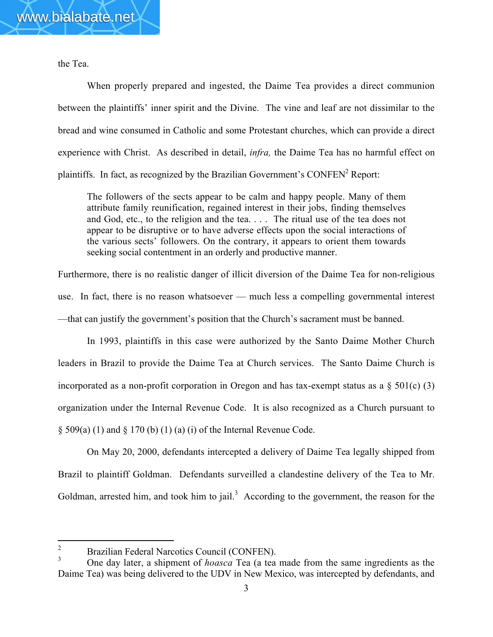the Tea.

When properly prepared and ingested, the Daime Tea provides a direct communion between the plaintiffs' inner spirit and the Divine. The vine and leaf are not dissimilar to the bread and wine consumed in Catholic and some Protestant churches, which can provide a direct experience with Christ. As described in detail, *infra,* the Daime Tea has no harmful effect on plaintiffs. In fact, as recognized by the Brazilian Government's CONFEN<sup>2</sup> Report:

The followers of the sects appear to be calm and happy people. Many of them attribute family reunification, regained interest in their jobs, finding themselves and God, etc., to the religion and the tea. . . . The ritual use of the tea does not appear to be disruptive or to have adverse effects upon the social interactions of the various sects' followers. On the contrary, it appears to orient them towards seeking social contentment in an orderly and productive manner.

Furthermore, there is no realistic danger of illicit diversion of the Daime Tea for non-religious use. In fact, there is no reason whatsoever — much less a compelling governmental interest —that can justify the government's position that the Church's sacrament must be banned.

In 1993, plaintiffs in this case were authorized by the Santo Daime Mother Church leaders in Brazil to provide the Daime Tea at Church services. The Santo Daime Church is incorporated as a non-profit corporation in Oregon and has tax-exempt status as a  $\S$  501(c) (3) organization under the Internal Revenue Code. It is also recognized as a Church pursuant to  $\S$  509(a) (1) and  $\S$  170 (b) (1) (a) (i) of the Internal Revenue Code.

On May 20, 2000, defendants intercepted a delivery of Daime Tea legally shipped from Brazil to plaintiff Goldman. Defendants surveilled a clandestine delivery of the Tea to Mr. Goldman, arrested him, and took him to jail.<sup>3</sup> According to the government, the reason for the

 $\frac{2}{3}$  Brazilian Federal Narcotics Council (CONFEN).

<sup>3</sup> One day later, a shipment of *hoasca* Tea (a tea made from the same ingredients as the Daime Tea) was being delivered to the UDV in New Mexico, was intercepted by defendants, and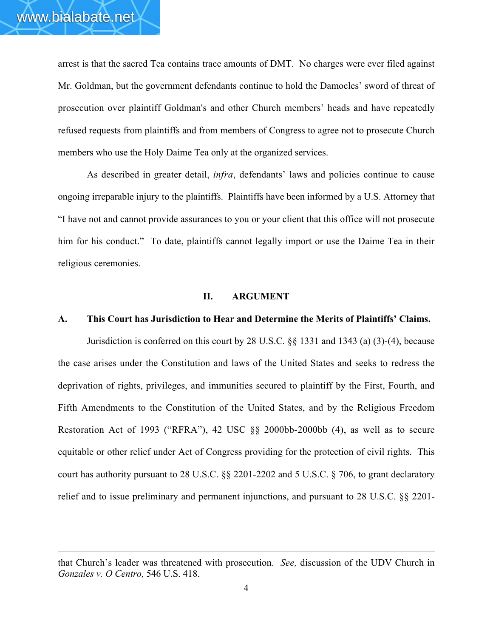$\overline{a}$ 

arrest is that the sacred Tea contains trace amounts of DMT. No charges were ever filed against Mr. Goldman, but the government defendants continue to hold the Damocles' sword of threat of prosecution over plaintiff Goldman's and other Church members' heads and have repeatedly refused requests from plaintiffs and from members of Congress to agree not to prosecute Church members who use the Holy Daime Tea only at the organized services.

As described in greater detail, *infra*, defendants' laws and policies continue to cause ongoing irreparable injury to the plaintiffs. Plaintiffs have been informed by a U.S. Attorney that "I have not and cannot provide assurances to you or your client that this office will not prosecute him for his conduct." To date, plaintiffs cannot legally import or use the Daime Tea in their religious ceremonies.

#### II. ARGUMENT

### A. This Court has Jurisdiction to Hear and Determine the Merits of Plaintiffs' Claims.

Jurisdiction is conferred on this court by 28 U.S.C. §§ 1331 and 1343 (a) (3)-(4), because the case arises under the Constitution and laws of the United States and seeks to redress the deprivation of rights, privileges, and immunities secured to plaintiff by the First, Fourth, and Fifth Amendments to the Constitution of the United States, and by the Religious Freedom Restoration Act of 1993 ("RFRA"), 42 USC §§ 2000bb-2000bb (4), as well as to secure equitable or other relief under Act of Congress providing for the protection of civil rights. This court has authority pursuant to 28 U.S.C. §§ 2201-2202 and 5 U.S.C. § 706, to grant declaratory relief and to issue preliminary and permanent injunctions, and pursuant to 28 U.S.C. §§ 2201-

that Church's leader was threatened with prosecution. *See,* discussion of the UDV Church in *Gonzales v. O Centro,* 546 U.S. 418.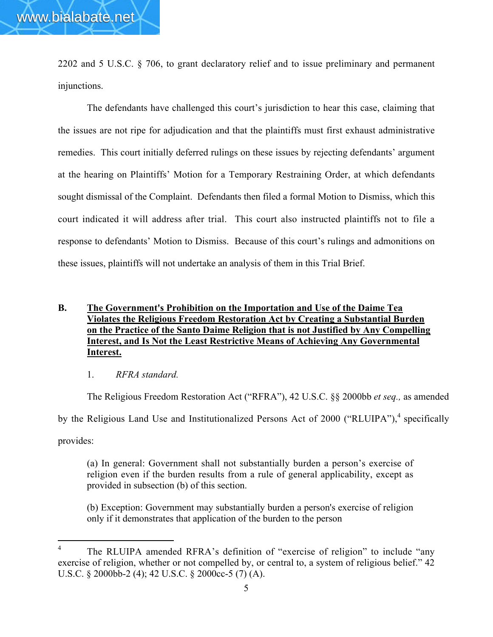2202 and 5 U.S.C. § 706, to grant declaratory relief and to issue preliminary and permanent injunctions.

The defendants have challenged this court's jurisdiction to hear this case, claiming that the issues are not ripe for adjudication and that the plaintiffs must first exhaust administrative remedies. This court initially deferred rulings on these issues by rejecting defendants' argument at the hearing on Plaintiffs' Motion for a Temporary Restraining Order, at which defendants sought dismissal of the Complaint. Defendants then filed a formal Motion to Dismiss, which this court indicated it will address after trial. This court also instructed plaintiffs not to file a response to defendants' Motion to Dismiss. Because of this court's rulings and admonitions on these issues, plaintiffs will not undertake an analysis of them in this Trial Brief.

### B. The Government's Prohibition on the Importation and Use of the Daime Tea Violates the Religious Freedom Restoration Act by Creating a Substantial Burden on the Practice of the Santo Daime Religion that is not Justified by Any Compelling Interest, and Is Not the Least Restrictive Means of Achieving Any Governmental Interest.

#### 1. *RFRA standard.*

The Religious Freedom Restoration Act ("RFRA"), 42 U.S.C. §§ 2000bb *et seq.,* as amended by the Religious Land Use and Institutionalized Persons Act of 2000 ("RLUIPA"),<sup>4</sup> specifically provides:

(a) In general: Government shall not substantially burden a person's exercise of religion even if the burden results from a rule of general applicability, except as provided in subsection (b) of this section.

(b) Exception: Government may substantially burden a person's exercise of religion only if it demonstrates that application of the burden to the person

<sup>&</sup>lt;sup>4</sup> The RLUIPA amended RFRA's definition of "exercise of religion" to include "any exercise of religion, whether or not compelled by, or central to, a system of religious belief." 42 U.S.C. § 2000bb-2 (4); 42 U.S.C. § 2000cc-5 (7) (A).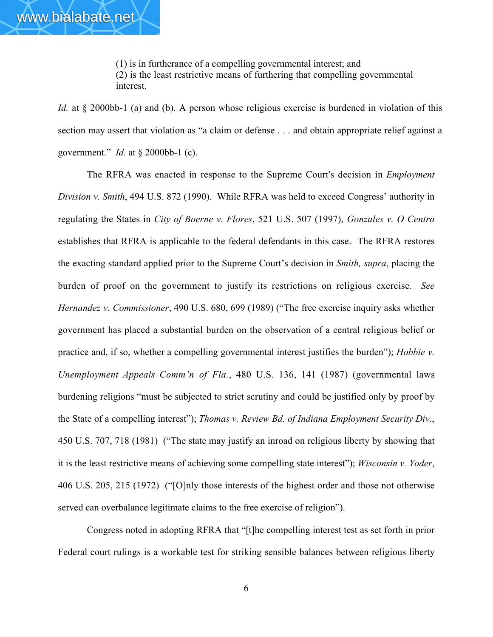(1) is in furtherance of a compelling governmental interest; and (2) is the least restrictive means of furthering that compelling governmental interest.

*Id.* at § 2000bb-1 (a) and (b). A person whose religious exercise is burdened in violation of this section may assert that violation as "a claim or defense . . . and obtain appropriate relief against a government." *Id.* at § 2000bb-1 (c).

The RFRA was enacted in response to the Supreme Court's decision in *Employment Division v. Smith*, 494 U.S. 872 (1990). While RFRA was held to exceed Congress' authority in regulating the States in *City of Boerne v. Flores*, 521 U.S. 507 (1997), *Gonzales v. O Centro* establishes that RFRA is applicable to the federal defendants in this case. The RFRA restores the exacting standard applied prior to the Supreme Court's decision in *Smith, supra*, placing the burden of proof on the government to justify its restrictions on religious exercise. *See Hernandez v. Commissioner*, 490 U.S. 680, 699 (1989) ("The free exercise inquiry asks whether government has placed a substantial burden on the observation of a central religious belief or practice and, if so, whether a compelling governmental interest justifies the burden"); *Hobbie v. Unemployment Appeals Comm'n of Fla.*, 480 U.S. 136, 141 (1987) (governmental laws burdening religions "must be subjected to strict scrutiny and could be justified only by proof by the State of a compelling interest"); *Thomas v. Review Bd. of Indiana Employment Security Div*., 450 U.S. 707, 718 (1981) ("The state may justify an inroad on religious liberty by showing that it is the least restrictive means of achieving some compelling state interest"); *Wisconsin v. Yoder*, 406 U.S. 205, 215 (1972) ("[O]nly those interests of the highest order and those not otherwise served can overbalance legitimate claims to the free exercise of religion").

Congress noted in adopting RFRA that "[t]he compelling interest test as set forth in prior Federal court rulings is a workable test for striking sensible balances between religious liberty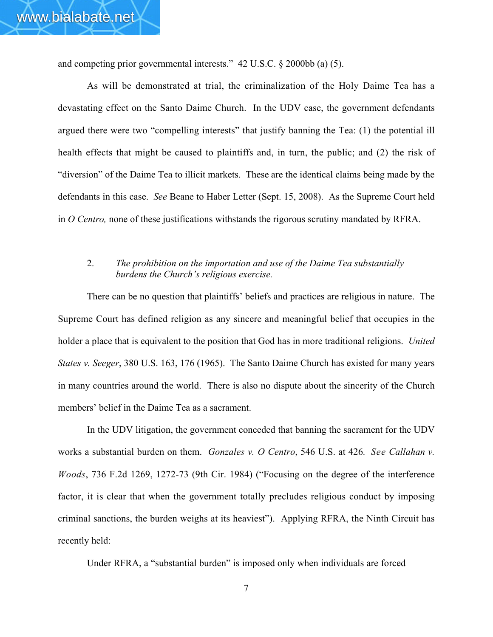and competing prior governmental interests." 42 U.S.C. § 2000bb (a) (5).

As will be demonstrated at trial, the criminalization of the Holy Daime Tea has a devastating effect on the Santo Daime Church. In the UDV case, the government defendants argued there were two "compelling interests" that justify banning the Tea: (1) the potential ill health effects that might be caused to plaintiffs and, in turn, the public; and (2) the risk of "diversion" of the Daime Tea to illicit markets. These are the identical claims being made by the defendants in this case. *See* Beane to Haber Letter (Sept. 15, 2008). As the Supreme Court held in *O Centro,* none of these justifications withstands the rigorous scrutiny mandated by RFRA.

### 2. *The prohibition on the importation and use of the Daime Tea substantially burdens the Church's religious exercise.*

There can be no question that plaintiffs' beliefs and practices are religious in nature. The Supreme Court has defined religion as any sincere and meaningful belief that occupies in the holder a place that is equivalent to the position that God has in more traditional religions. *United States v. Seeger*, 380 U.S. 163, 176 (1965). The Santo Daime Church has existed for many years in many countries around the world. There is also no dispute about the sincerity of the Church members' belief in the Daime Tea as a sacrament.

In the UDV litigation, the government conceded that banning the sacrament for the UDV works a substantial burden on them. *Gonzales v. O Centro*, 546 U.S. at 426*. See Callahan v. Woods*, 736 F.2d 1269, 1272-73 (9th Cir. 1984) ("Focusing on the degree of the interference factor, it is clear that when the government totally precludes religious conduct by imposing criminal sanctions, the burden weighs at its heaviest"). Applying RFRA, the Ninth Circuit has recently held:

Under RFRA, a "substantial burden" is imposed only when individuals are forced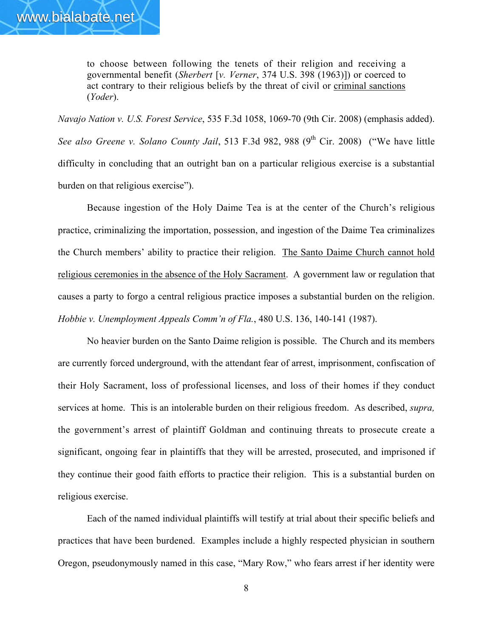to choose between following the tenets of their religion and receiving a governmental benefit (*Sherbert* [*v. Verner*, 374 U.S. 398 (1963)]) or coerced to act contrary to their religious beliefs by the threat of civil or criminal sanctions (*Yoder*).

*Navajo Nation v. U.S. Forest Service*, 535 F.3d 1058, 1069-70 (9th Cir. 2008) (emphasis added). *See also Greene v. Solano County Jail*, 513 F.3d 982, 988 (9<sup>th</sup> Cir. 2008) ("We have little difficulty in concluding that an outright ban on a particular religious exercise is a substantial burden on that religious exercise").

Because ingestion of the Holy Daime Tea is at the center of the Church's religious practice, criminalizing the importation, possession, and ingestion of the Daime Tea criminalizes the Church members' ability to practice their religion. The Santo Daime Church cannot hold religious ceremonies in the absence of the Holy Sacrament. A government law or regulation that causes a party to forgo a central religious practice imposes a substantial burden on the religion. *Hobbie v. Unemployment Appeals Comm'n of Fla.*, 480 U.S. 136, 140-141 (1987).

No heavier burden on the Santo Daime religion is possible. The Church and its members are currently forced underground, with the attendant fear of arrest, imprisonment, confiscation of their Holy Sacrament, loss of professional licenses, and loss of their homes if they conduct services at home. This is an intolerable burden on their religious freedom. As described, *supra,* the government's arrest of plaintiff Goldman and continuing threats to prosecute create a significant, ongoing fear in plaintiffs that they will be arrested, prosecuted, and imprisoned if they continue their good faith efforts to practice their religion. This is a substantial burden on religious exercise.

Each of the named individual plaintiffs will testify at trial about their specific beliefs and practices that have been burdened. Examples include a highly respected physician in southern Oregon, pseudonymously named in this case, "Mary Row," who fears arrest if her identity were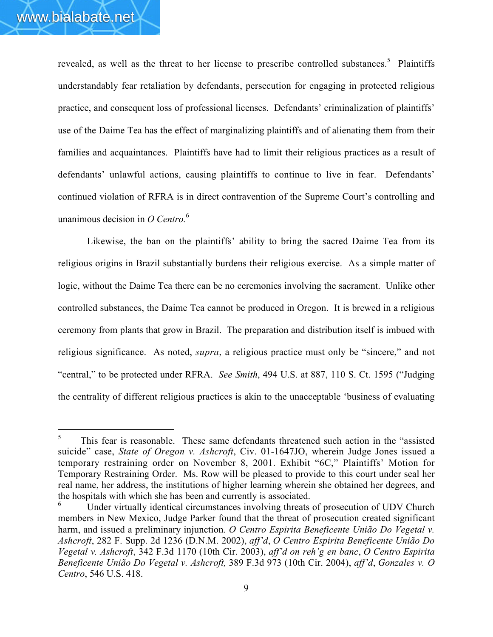revealed, as well as the threat to her license to prescribe controlled substances.<sup>5</sup> Plaintiffs understandably fear retaliation by defendants, persecution for engaging in protected religious practice, and consequent loss of professional licenses. Defendants' criminalization of plaintiffs' use of the Daime Tea has the effect of marginalizing plaintiffs and of alienating them from their families and acquaintances. Plaintiffs have had to limit their religious practices as a result of defendants' unlawful actions, causing plaintiffs to continue to live in fear. Defendants' continued violation of RFRA is in direct contravention of the Supreme Court's controlling and unanimous decision in *O Centro.*<sup>6</sup>

Likewise, the ban on the plaintiffs' ability to bring the sacred Daime Tea from its religious origins in Brazil substantially burdens their religious exercise. As a simple matter of logic, without the Daime Tea there can be no ceremonies involving the sacrament. Unlike other controlled substances, the Daime Tea cannot be produced in Oregon. It is brewed in a religious ceremony from plants that grow in Brazil. The preparation and distribution itself is imbued with religious significance. As noted, *supra*, a religious practice must only be "sincere," and not "central," to be protected under RFRA. *See Smith*, 494 U.S. at 887, 110 S. Ct. 1595 ("Judging the centrality of different religious practices is akin to the unacceptable 'business of evaluating

This fear is reasonable. These same defendants threatened such action in the "assisted suicide" case, *State of Oregon v. Ashcroft*, Civ. 01-1647JO, wherein Judge Jones issued a temporary restraining order on November 8, 2001. Exhibit "6C," Plaintiffs' Motion for Temporary Restraining Order. Ms. Row will be pleased to provide to this court under seal her real name, her address, the institutions of higher learning wherein she obtained her degrees, and the hospitals with which she has been and currently is associated.

Under virtually identical circumstances involving threats of prosecution of UDV Church members in New Mexico, Judge Parker found that the threat of prosecution created significant harm, and issued a preliminary injunction. *O Centro Espirita Beneficente União Do Vegetal v. Ashcroft*, 282 F. Supp. 2d 1236 (D.N.M. 2002), *aff'd*, *O Centro Espirita Beneficente União Do Vegetal v. Ashcroft*, 342 F.3d 1170 (10th Cir. 2003), *aff'd on reh'g en banc*, *O Centro Espirita Beneficente União Do Vegetal v. Ashcroft,* 389 F.3d 973 (10th Cir. 2004), *aff'd*, *Gonzales v. O Centro*, 546 U.S. 418.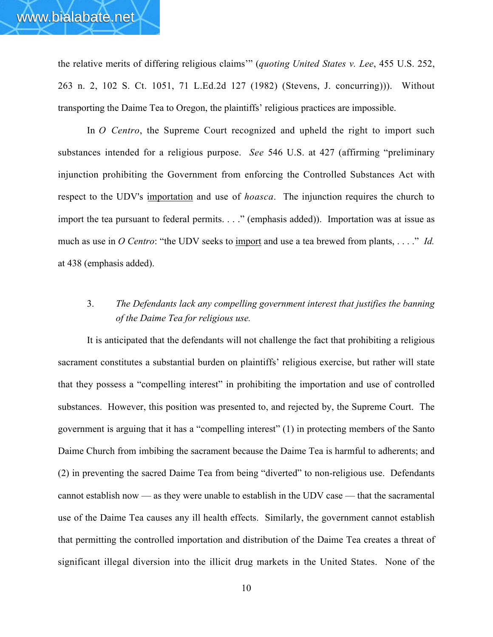the relative merits of differing religious claims'" (*quoting United States v. Lee*, 455 U.S. 252, 263 n. 2, 102 S. Ct. 1051, 71 L.Ed.2d 127 (1982) (Stevens, J. concurring))). Without transporting the Daime Tea to Oregon, the plaintiffs' religious practices are impossible.

In *O Centro*, the Supreme Court recognized and upheld the right to import such substances intended for a religious purpose. *See* 546 U.S. at 427 (affirming "preliminary injunction prohibiting the Government from enforcing the Controlled Substances Act with respect to the UDV's importation and use of *hoasca*. The injunction requires the church to import the tea pursuant to federal permits. . . ." (emphasis added)). Importation was at issue as much as use in *O Centro*: "the UDV seeks to import and use a tea brewed from plants, ...." *Id.* at 438 (emphasis added).

# 3. *The Defendants lack any compelling government interest that justifies the banning of the Daime Tea for religious use.*

It is anticipated that the defendants will not challenge the fact that prohibiting a religious sacrament constitutes a substantial burden on plaintiffs' religious exercise, but rather will state that they possess a "compelling interest" in prohibiting the importation and use of controlled substances. However, this position was presented to, and rejected by, the Supreme Court. The government is arguing that it has a "compelling interest" (1) in protecting members of the Santo Daime Church from imbibing the sacrament because the Daime Tea is harmful to adherents; and (2) in preventing the sacred Daime Tea from being "diverted" to non-religious use. Defendants cannot establish now — as they were unable to establish in the UDV case — that the sacramental use of the Daime Tea causes any ill health effects. Similarly, the government cannot establish that permitting the controlled importation and distribution of the Daime Tea creates a threat of significant illegal diversion into the illicit drug markets in the United States. None of the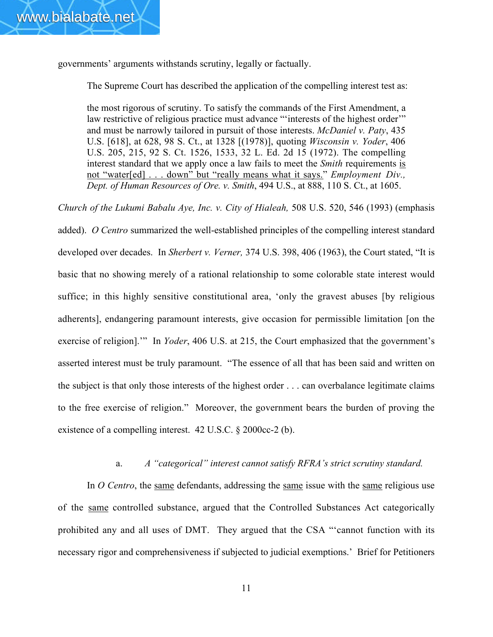governments' arguments withstands scrutiny, legally or factually.

The Supreme Court has described the application of the compelling interest test as:

the most rigorous of scrutiny. To satisfy the commands of the First Amendment, a law restrictive of religious practice must advance ""interests of the highest order"" and must be narrowly tailored in pursuit of those interests. *McDaniel v. Paty*, 435 U.S. [618], at 628, 98 S. Ct., at 1328 [(1978)], quoting *Wisconsin v. Yoder*, 406 U.S. 205, 215, 92 S. Ct. 1526, 1533, 32 L. Ed. 2d 15 (1972). The compelling interest standard that we apply once a law fails to meet the *Smith* requirements is not "water[ed] . . . down" but "really means what it says." *Employment Div., Dept. of Human Resources of Ore. v. Smith*, 494 U.S., at 888, 110 S. Ct., at 1605.

*Church of the Lukumi Babalu Aye, Inc. v. City of Hialeah,* 508 U.S. 520, 546 (1993) (emphasis added). *O Centro* summarized the well-established principles of the compelling interest standard developed over decades. In *Sherbert v. Verner,* 374 U.S. 398, 406 (1963), the Court stated, "It is basic that no showing merely of a rational relationship to some colorable state interest would suffice; in this highly sensitive constitutional area, 'only the gravest abuses [by religious adherents], endangering paramount interests, give occasion for permissible limitation [on the exercise of religion].'" In *Yoder*, 406 U.S. at 215, the Court emphasized that the government's asserted interest must be truly paramount. "The essence of all that has been said and written on the subject is that only those interests of the highest order . . . can overbalance legitimate claims to the free exercise of religion." Moreover, the government bears the burden of proving the existence of a compelling interest. 42 U.S.C. § 2000cc-2 (b).

#### a. *A "categorical" interest cannot satisfy RFRA's strict scrutiny standard.*

In *O Centro*, the same defendants, addressing the same issue with the same religious use of the same controlled substance, argued that the Controlled Substances Act categorically prohibited any and all uses of DMT. They argued that the CSA "'cannot function with its necessary rigor and comprehensiveness if subjected to judicial exemptions.' Brief for Petitioners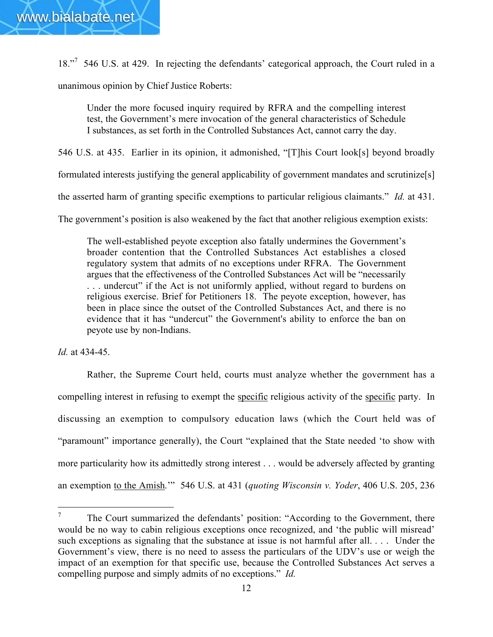18."<sup>7</sup> 546 U.S. at 429. In rejecting the defendants' categorical approach, the Court ruled in a

unanimous opinion by Chief Justice Roberts:

Under the more focused inquiry required by RFRA and the compelling interest test, the Government's mere invocation of the general characteristics of Schedule I substances, as set forth in the Controlled Substances Act, cannot carry the day.

546 U.S. at 435. Earlier in its opinion, it admonished, "[T]his Court look[s] beyond broadly

formulated interests justifying the general applicability of government mandates and scrutinize[s]

the asserted harm of granting specific exemptions to particular religious claimants." *Id.* at 431.

The government's position is also weakened by the fact that another religious exemption exists:

The well-established peyote exception also fatally undermines the Government's broader contention that the Controlled Substances Act establishes a closed regulatory system that admits of no exceptions under RFRA. The Government argues that the effectiveness of the Controlled Substances Act will be "necessarily . . . undercut" if the Act is not uniformly applied, without regard to burdens on religious exercise. Brief for Petitioners 18. The peyote exception, however, has been in place since the outset of the Controlled Substances Act, and there is no evidence that it has "undercut" the Government's ability to enforce the ban on peyote use by non-Indians.

*Id.* at 434-45.

Rather, the Supreme Court held, courts must analyze whether the government has a compelling interest in refusing to exempt the specific religious activity of the specific party. In discussing an exemption to compulsory education laws (which the Court held was of "paramount" importance generally), the Court "explained that the State needed 'to show with more particularity how its admittedly strong interest . . . would be adversely affected by granting an exemption to the Amish.'" 546 U.S. at 431 (*quoting Wisconsin v. Yoder*, 406 U.S. 205, 236

<sup>&</sup>lt;sup>7</sup> The Court summarized the defendants' position: "According to the Government, there would be no way to cabin religious exceptions once recognized, and 'the public will misread' such exceptions as signaling that the substance at issue is not harmful after all. *.* . . Under the Government's view, there is no need to assess the particulars of the UDV's use or weigh the impact of an exemption for that specific use, because the Controlled Substances Act serves a compelling purpose and simply admits of no exceptions." *Id.*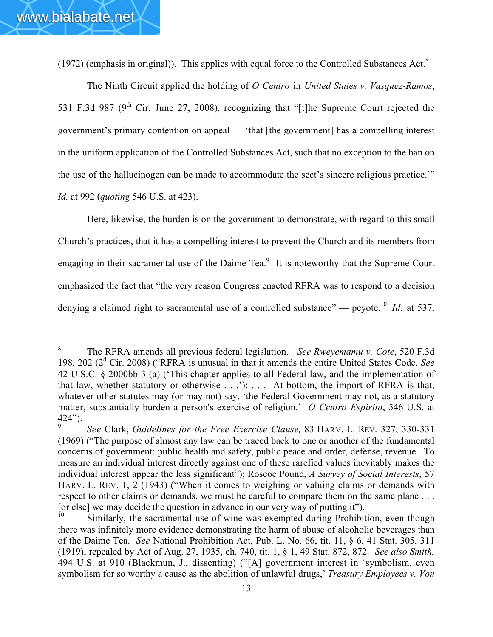(1972) (emphasis in original)). This applies with equal force to the Controlled Substances Act.8

The Ninth Circuit applied the holding of *O Centro* in *United States v. Vasquez-Ramos*, 531 F.3d 987 ( $9<sup>th</sup>$  Cir. June 27, 2008), recognizing that "[t]he Supreme Court rejected the government's primary contention on appeal — 'that [the government] has a compelling interest in the uniform application of the Controlled Substances Act, such that no exception to the ban on the use of the hallucinogen can be made to accommodate the sect's sincere religious practice.'" *Id.* at 992 (*quoting* 546 U.S. at 423).

Here, likewise, the burden is on the government to demonstrate, with regard to this small Church's practices, that it has a compelling interest to prevent the Church and its members from engaging in their sacramental use of the Daime Tea.<sup>9</sup> It is noteworthy that the Supreme Court emphasized the fact that "the very reason Congress enacted RFRA was to respond to a decision denying a claimed right to sacramental use of a controlled substance" — peyote.<sup>10</sup> *Id.* at 537.

<sup>8</sup> The RFRA amends all previous federal legislation. *See Rweyemamu v. Cote*, 520 F.3d 198, 202 (2d Cir. 2008) ("RFRA is unusual in that it amends the entire United States Code. *See* 42 U.S.C. § 2000bb-3 (a) ('This chapter applies to all Federal law, and the implementation of that law, whether statutory or otherwise  $\dots$ ;  $\dots$  At bottom, the import of RFRA is that, whatever other statutes may (or may not) say, 'the Federal Government may not, as a statutory matter, substantially burden a person's exercise of religion.' *O Centro Espirita*, 546 U.S. at  $424$ ").

<sup>9</sup> *See* Clark, *Guidelines for the Free Exercise Clause,* 83 HARV. L. REV. 327, 330-331 (1969) ("The purpose of almost any law can be traced back to one or another of the fundamental concerns of government: public health and safety, public peace and order, defense, revenue. To measure an individual interest directly against one of these rarefied values inevitably makes the individual interest appear the less significant"); Roscoe Pound, *A Survey of Social Interests*, 57 HARV. L. REV. 1, 2 (1943) ("When it comes to weighing or valuing claims or demands with respect to other claims or demands, we must be careful to compare them on the same plane ... [or else] we may decide the question in advance in our very way of putting it").

Similarly, the sacramental use of wine was exempted during Prohibition, even though there was infinitely more evidence demonstrating the harm of abuse of alcoholic beverages than of the Daime Tea. *See* National Prohibition Act, Pub. L. No. 66, tit. 11, § 6, 41 Stat. 305, 311 (1919), repealed by Act of Aug. 27, 1935, ch. 740, tit. 1, § 1, 49 Stat. 872, 872. *See also Smith,* 494 U.S. at 910 (Blackmun, J., dissenting) ("[A] government interest in 'symbolism, even symbolism for so worthy a cause as the abolition of unlawful drugs,' *Treasury Employees v. Von*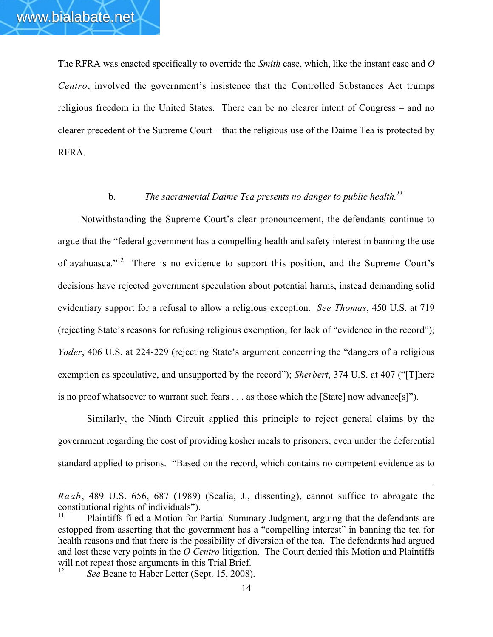The RFRA was enacted specifically to override the *Smith* case, which, like the instant case and *O Centro*, involved the government's insistence that the Controlled Substances Act trumps religious freedom in the United States. There can be no clearer intent of Congress – and no clearer precedent of the Supreme Court – that the religious use of the Daime Tea is protected by RFRA.

# b. *The sacramental Daime Tea presents no danger to public health.<sup>11</sup>*

Notwithstanding the Supreme Court's clear pronouncement, the defendants continue to argue that the "federal government has a compelling health and safety interest in banning the use of ayahuasca."<sup>12</sup> There is no evidence to support this position, and the Supreme Court's decisions have rejected government speculation about potential harms, instead demanding solid evidentiary support for a refusal to allow a religious exception. *See Thomas*, 450 U.S. at 719 (rejecting State's reasons for refusing religious exemption, for lack of "evidence in the record"); *Yoder*, 406 U.S. at 224-229 (rejecting State's argument concerning the "dangers of a religious exemption as speculative, and unsupported by the record"); *Sherbert*, 374 U.S. at 407 ("[T]here is no proof whatsoever to warrant such fears . . . as those which the [State] now advance[s]").

Similarly, the Ninth Circuit applied this principle to reject general claims by the government regarding the cost of providing kosher meals to prisoners, even under the deferential standard applied to prisons. "Based on the record, which contains no competent evidence as to

 $\overline{a}$ 

*Raab*, 489 U.S. 656, 687 (1989) (Scalia, J., dissenting), cannot suffice to abrogate the constitutional rights of individuals").

Plaintiffs filed a Motion for Partial Summary Judgment, arguing that the defendants are estopped from asserting that the government has a "compelling interest" in banning the tea for health reasons and that there is the possibility of diversion of the tea. The defendants had argued and lost these very points in the *O Centro* litigation.The Court denied this Motion and Plaintiffs will not repeat those arguments in this Trial Brief.

See Beane to Haber Letter (Sept. 15, 2008).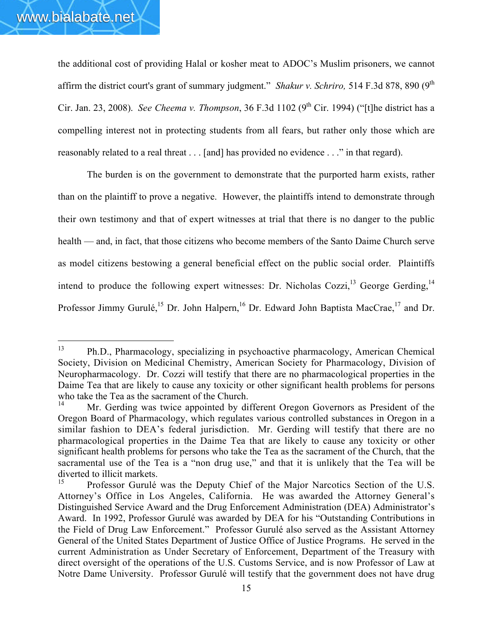the additional cost of providing Halal or kosher meat to ADOC's Muslim prisoners, we cannot affirm the district court's grant of summary judgment." *Shakur v. Schriro*, 514 F.3d 878, 890 (9<sup>th</sup>) Cir. Jan. 23, 2008). *See Cheema v. Thompson*, 36 F.3d 1102 (9<sup>th</sup> Cir. 1994) ("[t]he district has a compelling interest not in protecting students from all fears, but rather only those which are reasonably related to a real threat . . . [and] has provided no evidence . . ." in that regard).

The burden is on the government to demonstrate that the purported harm exists, rather than on the plaintiff to prove a negative. However, the plaintiffs intend to demonstrate through their own testimony and that of expert witnesses at trial that there is no danger to the public health — and, in fact, that those citizens who become members of the Santo Daime Church serve as model citizens bestowing a general beneficial effect on the public social order. Plaintiffs intend to produce the following expert witnesses: Dr. Nicholas Cozzi,<sup>13</sup> George Gerding,<sup>14</sup> Professor Jimmy Gurulé,<sup>15</sup> Dr. John Halpern,<sup>16</sup> Dr. Edward John Baptista MacCrae,<sup>17</sup> and Dr.

<sup>13</sup> Ph.D., Pharmacology, specializing in psychoactive pharmacology, American Chemical Society, Division on Medicinal Chemistry, American Society for Pharmacology, Division of Neuropharmacology. Dr. Cozzi will testify that there are no pharmacological properties in the Daime Tea that are likely to cause any toxicity or other significant health problems for persons who take the Tea as the sacrament of the Church.

Mr. Gerding was twice appointed by different Oregon Governors as President of the Oregon Board of Pharmacology, which regulates various controlled substances in Oregon in a similar fashion to DEA's federal jurisdiction. Mr. Gerding will testify that there are no pharmacological properties in the Daime Tea that are likely to cause any toxicity or other significant health problems for persons who take the Tea as the sacrament of the Church, that the sacramental use of the Tea is a "non drug use," and that it is unlikely that the Tea will be diverted to illicit markets.

<sup>15</sup> Professor Gurulé was the Deputy Chief of the Major Narcotics Section of the U.S. Attorney's Office in Los Angeles, California. He was awarded the Attorney General's Distinguished Service Award and the Drug Enforcement Administration (DEA) Administrator's Award. In 1992, Professor Gurulé was awarded by DEA for his "Outstanding Contributions in the Field of Drug Law Enforcement." Professor Gurulé also served as the Assistant Attorney General of the United States Department of Justice Office of Justice Programs. He served in the current Administration as Under Secretary of Enforcement, Department of the Treasury with direct oversight of the operations of the U.S. Customs Service, and is now Professor of Law at Notre Dame University. Professor Gurulé will testify that the government does not have drug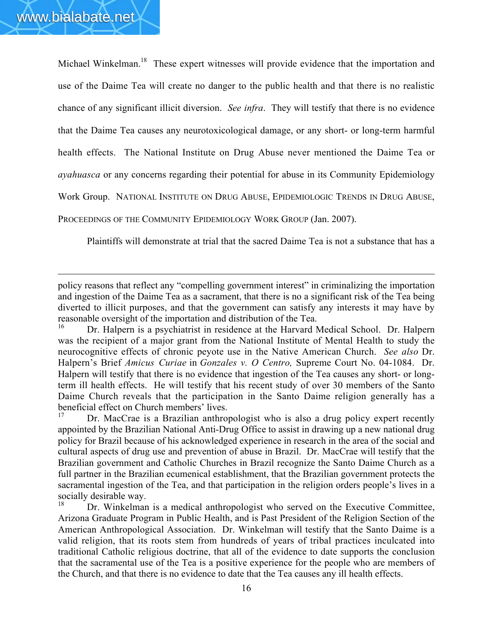$\overline{a}$ 

Michael Winkelman.<sup>18</sup> These expert witnesses will provide evidence that the importation and use of the Daime Tea will create no danger to the public health and that there is no realistic chance of any significant illicit diversion. *See infra*. They will testify that there is no evidence that the Daime Tea causes any neurotoxicological damage, or any short- or long-term harmful health effects. The National Institute on Drug Abuse never mentioned the Daime Tea or *ayahuasca* or any concerns regarding their potential for abuse in its Community Epidemiology Work Group. NATIONAL INSTITUTE ON DRUG ABUSE, EPIDEMIOLOGIC TRENDS IN DRUG ABUSE, PROCEEDINGS OF THE COMMUNITY EPIDEMIOLOGY WORK GROUP (Jan. 2007).

Plaintiffs will demonstrate at trial that the sacred Daime Tea is not a substance that has a

policy reasons that reflect any "compelling government interest" in criminalizing the importation and ingestion of the Daime Tea as a sacrament, that there is no a significant risk of the Tea being diverted to illicit purposes, and that the government can satisfy any interests it may have by reasonable oversight of the importation and distribution of the Tea.

Dr. Halpern is a psychiatrist in residence at the Harvard Medical School. Dr. Halpern was the recipient of a major grant from the National Institute of Mental Health to study the neurocognitive effects of chronic peyote use in the Native American Church. *See also* Dr. Halpern's Brief *Amicus Curiae* in *Gonzales v. O Centro,* Supreme Court No. 04-1084. Dr. Halpern will testify that there is no evidence that ingestion of the Tea causes any short- or longterm ill health effects. He will testify that his recent study of over 30 members of the Santo Daime Church reveals that the participation in the Santo Daime religion generally has a beneficial effect on Church members' lives.

Dr. MacCrae is a Brazilian anthropologist who is also a drug policy expert recently appointed by the Brazilian National Anti-Drug Office to assist in drawing up a new national drug policy for Brazil because of his acknowledged experience in research in the area of the social and cultural aspects of drug use and prevention of abuse in Brazil. Dr. MacCrae will testify that the Brazilian government and Catholic Churches in Brazil recognize the Santo Daime Church as a full partner in the Brazilian ecumenical establishment, that the Brazilian government protects the sacramental ingestion of the Tea, and that participation in the religion orders people's lives in a socially desirable way.

<sup>18</sup> Dr. Winkelman is a medical anthropologist who served on the Executive Committee, Arizona Graduate Program in Public Health, and is Past President of the Religion Section of the American Anthropological Association. Dr. Winkelman will testify that the Santo Daime is a valid religion, that its roots stem from hundreds of years of tribal practices inculcated into traditional Catholic religious doctrine, that all of the evidence to date supports the conclusion that the sacramental use of the Tea is a positive experience for the people who are members of the Church, and that there is no evidence to date that the Tea causes any ill health effects.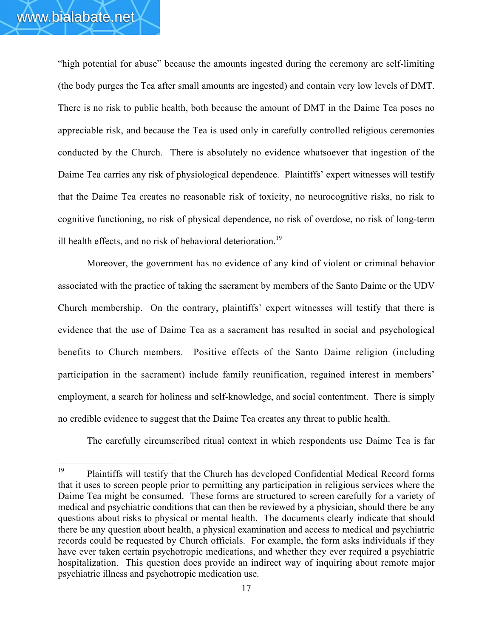"high potential for abuse" because the amounts ingested during the ceremony are self-limiting (the body purges the Tea after small amounts are ingested) and contain very low levels of DMT. There is no risk to public health, both because the amount of DMT in the Daime Tea poses no appreciable risk, and because the Tea is used only in carefully controlled religious ceremonies conducted by the Church. There is absolutely no evidence whatsoever that ingestion of the Daime Tea carries any risk of physiological dependence. Plaintiffs' expert witnesses will testify that the Daime Tea creates no reasonable risk of toxicity, no neurocognitive risks, no risk to cognitive functioning, no risk of physical dependence, no risk of overdose, no risk of long-term ill health effects, and no risk of behavioral deterioration.<sup>19</sup>

Moreover, the government has no evidence of any kind of violent or criminal behavior associated with the practice of taking the sacrament by members of the Santo Daime or the UDV Church membership. On the contrary, plaintiffs' expert witnesses will testify that there is evidence that the use of Daime Tea as a sacrament has resulted in social and psychological benefits to Church members. Positive effects of the Santo Daime religion (including participation in the sacrament) include family reunification, regained interest in members' employment, a search for holiness and self-knowledge, and social contentment. There is simply no credible evidence to suggest that the Daime Tea creates any threat to public health.

The carefully circumscribed ritual context in which respondents use Daime Tea is far

<sup>&</sup>lt;sup>19</sup> Plaintiffs will testify that the Church has developed Confidential Medical Record forms that it uses to screen people prior to permitting any participation in religious services where the Daime Tea might be consumed. These forms are structured to screen carefully for a variety of medical and psychiatric conditions that can then be reviewed by a physician, should there be any questions about risks to physical or mental health. The documents clearly indicate that should there be any question about health, a physical examination and access to medical and psychiatric records could be requested by Church officials. For example, the form asks individuals if they have ever taken certain psychotropic medications, and whether they ever required a psychiatric hospitalization. This question does provide an indirect way of inquiring about remote major psychiatric illness and psychotropic medication use.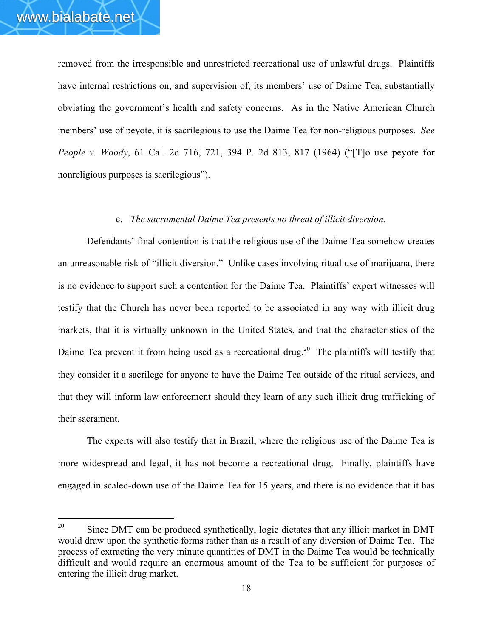removed from the irresponsible and unrestricted recreational use of unlawful drugs. Plaintiffs have internal restrictions on, and supervision of, its members' use of Daime Tea, substantially obviating the government's health and safety concerns. As in the Native American Church members' use of peyote, it is sacrilegious to use the Daime Tea for non-religious purposes. *See People v. Woody*, 61 Cal. 2d 716, 721, 394 P. 2d 813, 817 (1964) ("[T]o use peyote for nonreligious purposes is sacrilegious").

#### c. *The sacramental Daime Tea presents no threat of illicit diversion.*

Defendants' final contention is that the religious use of the Daime Tea somehow creates an unreasonable risk of "illicit diversion." Unlike cases involving ritual use of marijuana, there is no evidence to support such a contention for the Daime Tea. Plaintiffs' expert witnesses will testify that the Church has never been reported to be associated in any way with illicit drug markets, that it is virtually unknown in the United States, and that the characteristics of the Daime Tea prevent it from being used as a recreational drug.<sup>20</sup> The plaintiffs will testify that they consider it a sacrilege for anyone to have the Daime Tea outside of the ritual services, and that they will inform law enforcement should they learn of any such illicit drug trafficking of their sacrament.

The experts will also testify that in Brazil, where the religious use of the Daime Tea is more widespread and legal, it has not become a recreational drug. Finally, plaintiffs have engaged in scaled-down use of the Daime Tea for 15 years, and there is no evidence that it has

 $20$  Since DMT can be produced synthetically, logic dictates that any illicit market in DMT would draw upon the synthetic forms rather than as a result of any diversion of Daime Tea. The process of extracting the very minute quantities of DMT in the Daime Tea would be technically difficult and would require an enormous amount of the Tea to be sufficient for purposes of entering the illicit drug market.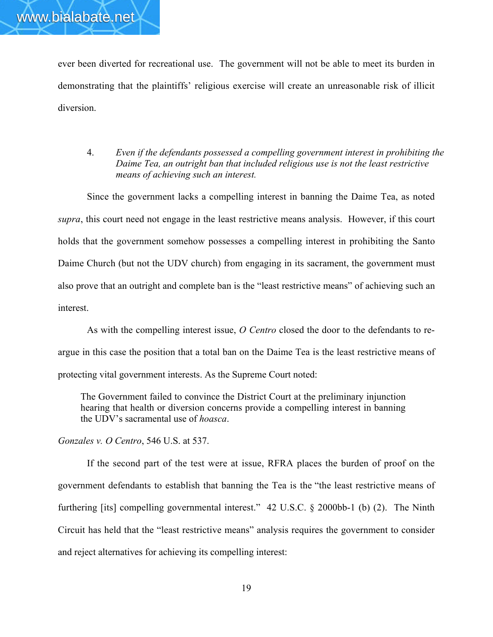ever been diverted for recreational use. The government will not be able to meet its burden in demonstrating that the plaintiffs' religious exercise will create an unreasonable risk of illicit diversion.

4. *Even if the defendants possessed a compelling government interest in prohibiting the Daime Tea, an outright ban that included religious use is not the least restrictive means of achieving such an interest.*

Since the government lacks a compelling interest in banning the Daime Tea, as noted *supra*, this court need not engage in the least restrictive means analysis. However, if this court holds that the government somehow possesses a compelling interest in prohibiting the Santo Daime Church (but not the UDV church) from engaging in its sacrament, the government must also prove that an outright and complete ban is the "least restrictive means" of achieving such an interest.

As with the compelling interest issue, *O Centro* closed the door to the defendants to reargue in this case the position that a total ban on the Daime Tea is the least restrictive means of protecting vital government interests. As the Supreme Court noted:

The Government failed to convince the District Court at the preliminary injunction hearing that health or diversion concerns provide a compelling interest in banning the UDV's sacramental use of *hoasca*.

*Gonzales v. O Centro*, 546 U.S. at 537.

If the second part of the test were at issue, RFRA places the burden of proof on the government defendants to establish that banning the Tea is the "the least restrictive means of furthering [its] compelling governmental interest." 42 U.S.C. § 2000bb-1 (b) (2). The Ninth Circuit has held that the "least restrictive means" analysis requires the government to consider and reject alternatives for achieving its compelling interest: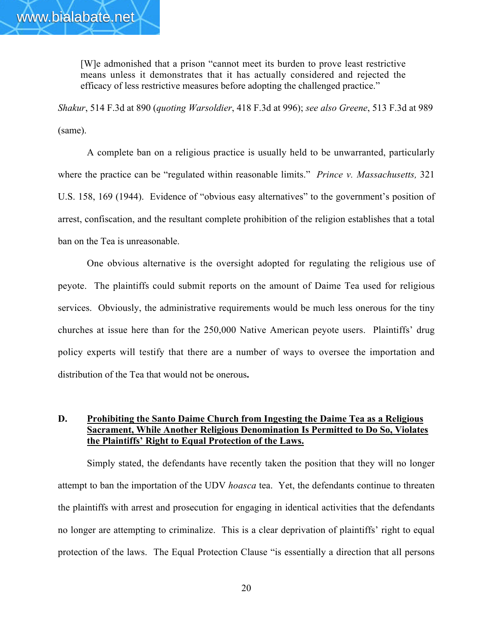[W]e admonished that a prison "cannot meet its burden to prove least restrictive means unless it demonstrates that it has actually considered and rejected the efficacy of less restrictive measures before adopting the challenged practice."

*Shakur*, 514 F.3d at 890 (*quoting Warsoldier*, 418 F.3d at 996); *see also Greene*, 513 F.3d at 989 (same).

A complete ban on a religious practice is usually held to be unwarranted, particularly where the practice can be "regulated within reasonable limits." *Prince v. Massachusetts,* 321 U.S. 158, 169 (1944). Evidence of "obvious easy alternatives" to the government's position of arrest, confiscation, and the resultant complete prohibition of the religion establishes that a total ban on the Tea is unreasonable.

One obvious alternative is the oversight adopted for regulating the religious use of peyote. The plaintiffs could submit reports on the amount of Daime Tea used for religious services. Obviously, the administrative requirements would be much less onerous for the tiny churches at issue here than for the 250,000 Native American peyote users. Plaintiffs' drug policy experts will testify that there are a number of ways to oversee the importation and distribution of the Tea that would not be onerous.

### D. Prohibiting the Santo Daime Church from Ingesting the Daime Tea as a Religious Sacrament, While Another Religious Denomination Is Permitted to Do So, Violates the Plaintiffs' Right to Equal Protection of the Laws.

Simply stated, the defendants have recently taken the position that they will no longer attempt to ban the importation of the UDV *hoasca* tea. Yet, the defendants continue to threaten the plaintiffs with arrest and prosecution for engaging in identical activities that the defendants no longer are attempting to criminalize. This is a clear deprivation of plaintiffs' right to equal protection of the laws. The Equal Protection Clause "is essentially a direction that all persons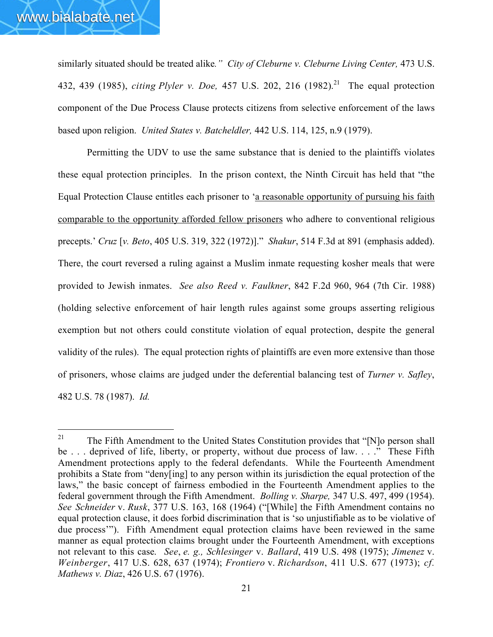similarly situated should be treated alike*." City of Cleburne v. Cleburne Living Center,* 473 U.S. 432, 439 (1985), *citing Plyler v. Doe,* 457 U.S. 202, 216 (1982). 21 The equal protection component of the Due Process Clause protects citizens from selective enforcement of the laws based upon religion. *United States v. Batcheldler,* 442 U.S. 114, 125, n.9 (1979).

Permitting the UDV to use the same substance that is denied to the plaintiffs violates these equal protection principles. In the prison context, the Ninth Circuit has held that "the Equal Protection Clause entitles each prisoner to 'a reasonable opportunity of pursuing his faith comparable to the opportunity afforded fellow prisoners who adhere to conventional religious precepts.' *Cruz* [*v. Beto*, 405 U.S. 319, 322 (1972)]." *Shakur*, 514 F.3d at 891 (emphasis added). There, the court reversed a ruling against a Muslim inmate requesting kosher meals that were provided to Jewish inmates. *See also Reed v. Faulkner*, 842 F.2d 960, 964 (7th Cir. 1988) (holding selective enforcement of hair length rules against some groups asserting religious exemption but not others could constitute violation of equal protection, despite the general validity of the rules). The equal protection rights of plaintiffs are even more extensive than those of prisoners, whose claims are judged under the deferential balancing test of *Turner v. Safley*, 482 U.S. 78 (1987). *Id.*

<sup>&</sup>lt;sup>21</sup> The Fifth Amendment to the United States Constitution provides that "[N]o person shall be . . . deprived of life, liberty, or property, without due process of law. . . ." These Fifth Amendment protections apply to the federal defendants. While the Fourteenth Amendment prohibits a State from "deny[ing] to any person within its jurisdiction the equal protection of the laws," the basic concept of fairness embodied in the Fourteenth Amendment applies to the federal government through the Fifth Amendment. *Bolling v. Sharpe,* 347 U.S. 497, 499 (1954). *See Schneider* v. *Rusk*, 377 U.S. 163, 168 (1964) ("[While] the Fifth Amendment contains no equal protection clause, it does forbid discrimination that is 'so unjustifiable as to be violative of due process'"). Fifth Amendment equal protection claims have been reviewed in the same manner as equal protection claims brought under the Fourteenth Amendment, with exceptions not relevant to this case. *See*, *e. g., Schlesinger* v. *Ballard*, 419 U.S. 498 (1975); *Jimenez* v. *Weinberger*, 417 U.S. 628, 637 (1974); *Frontiero* v. *Richardson*, 411 U.S. 677 (1973); *cf. Mathews v. Diaz*, 426 U.S. 67 (1976).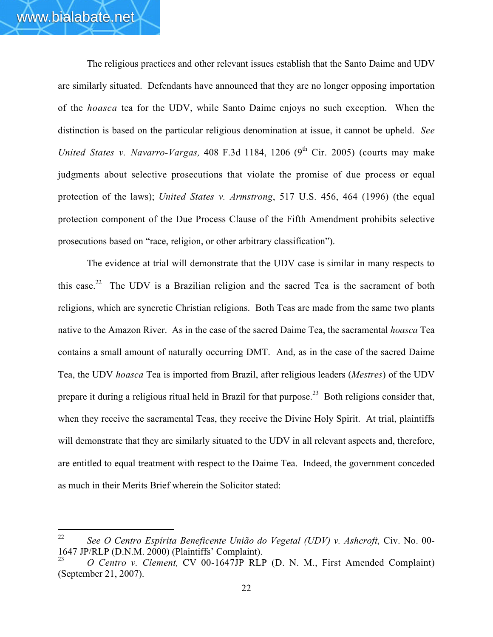The religious practices and other relevant issues establish that the Santo Daime and UDV are similarly situated. Defendants have announced that they are no longer opposing importation of the *hoasca* tea for the UDV, while Santo Daime enjoys no such exception. When the distinction is based on the particular religious denomination at issue, it cannot be upheld. *See United States v. Navarro-Vargas,* 408 F.3d 1184, 1206 (9<sup>th</sup> Cir. 2005) (courts may make judgments about selective prosecutions that violate the promise of due process or equal protection of the laws); *United States v. Armstrong*, 517 U.S. 456, 464 (1996) (the equal protection component of the Due Process Clause of the Fifth Amendment prohibits selective prosecutions based on "race, religion, or other arbitrary classification").

The evidence at trial will demonstrate that the UDV case is similar in many respects to this case.<sup>22</sup> The UDV is a Brazilian religion and the sacred Tea is the sacrament of both religions, which are syncretic Christian religions. Both Teas are made from the same two plants native to the Amazon River. As in the case of the sacred Daime Tea, the sacramental *hoasca* Tea contains a small amount of naturally occurring DMT. And, as in the case of the sacred Daime Tea, the UDV *hoasca* Tea is imported from Brazil, after religious leaders (*Mestres*) of the UDV prepare it during a religious ritual held in Brazil for that purpose.<sup>23</sup> Both religions consider that, when they receive the sacramental Teas, they receive the Divine Holy Spirit. At trial, plaintiffs will demonstrate that they are similarly situated to the UDV in all relevant aspects and, therefore, are entitled to equal treatment with respect to the Daime Tea. Indeed, the government conceded as much in their Merits Brief wherein the Solicitor stated:

<sup>22</sup> *See O Centro Espírita Beneficente União do Vegetal (UDV) v. Ashcroft*, Civ. No. 00- 1647 JP/RLP (D.N.M. 2000) (Plaintiffs' Complaint).

<sup>23</sup> *O Centro v. Clement,* CV 00-1647JP RLP (D. N. M., First Amended Complaint) (September 21, 2007).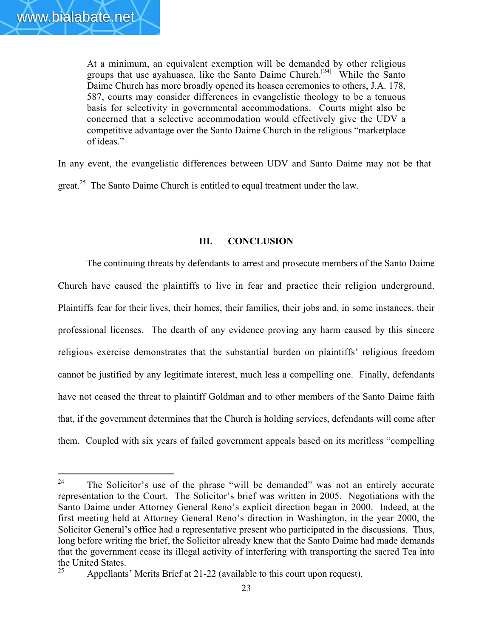At a minimum, an equivalent exemption will be demanded by other religious groups that use ayahuasca, like the Santo Daime Church.<sup>[24]</sup> While the Santo Daime Church has more broadly opened its hoasca ceremonies to others, J.A. 178, 587, courts may consider differences in evangelistic theology to be a tenuous basis for selectivity in governmental accommodations. Courts might also be concerned that a selective accommodation would effectively give the UDV a competitive advantage over the Santo Daime Church in the religious "marketplace of ideas."

In any event, the evangelistic differences between UDV and Santo Daime may not be that great.<sup>25</sup> The Santo Daime Church is entitled to equal treatment under the law.

### III. CONCLUSION

The continuing threats by defendants to arrest and prosecute members of the Santo Daime Church have caused the plaintiffs to live in fear and practice their religion underground. Plaintiffs fear for their lives, their homes, their families, their jobs and, in some instances, their professional licenses. The dearth of any evidence proving any harm caused by this sincere religious exercise demonstrates that the substantial burden on plaintiffs' religious freedom cannot be justified by any legitimate interest, much less a compelling one. Finally, defendants have not ceased the threat to plaintiff Goldman and to other members of the Santo Daime faith that, if the government determines that the Church is holding services, defendants will come after them. Coupled with six years of failed government appeals based on its meritless "compelling

<sup>&</sup>lt;sup>24</sup> The Solicitor's use of the phrase "will be demanded" was not an entirely accurate representation to the Court. The Solicitor's brief was written in 2005. Negotiations with the Santo Daime under Attorney General Reno's explicit direction began in 2000. Indeed, at the first meeting held at Attorney General Reno's direction in Washington, in the year 2000, the Solicitor General's office had a representative present who participated in the discussions. Thus, long before writing the brief, the Solicitor already knew that the Santo Daime had made demands that the government cease its illegal activity of interfering with transporting the sacred Tea into the United States.

Appellants' Merits Brief at 21-22 (available to this court upon request).